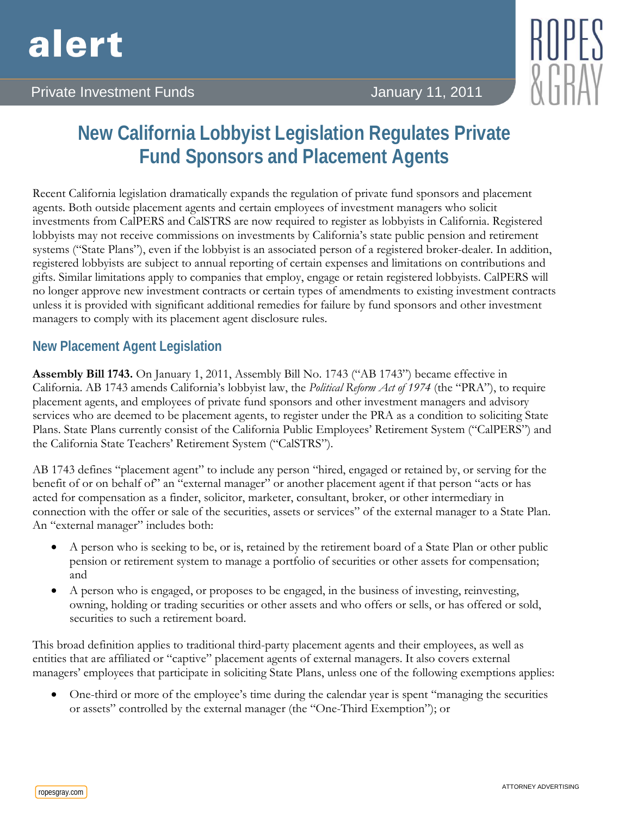



# **New California Lobbyist Legislation Regulates Private Fund Sponsors and Placement Agents**

Recent California legislation dramatically expands the regulation of private fund sponsors and placement agents. Both outside placement agents and certain employees of investment managers who solicit investments from CalPERS and CalSTRS are now required to register as lobbyists in California. Registered lobbyists may not receive commissions on investments by California's state public pension and retirement systems ("State Plans"), even if the lobbyist is an associated person of a registered broker-dealer. In addition, registered lobbyists are subject to annual reporting of certain expenses and limitations on contributions and gifts. Similar limitations apply to companies that employ, engage or retain registered lobbyists. CalPERS will no longer approve new investment contracts or certain types of amendments to existing investment contracts unless it is provided with significant additional remedies for failure by fund sponsors and other investment managers to comply with its placement agent disclosure rules.

# **New Placement Agent Legislation**

**Assembly Bill 1743.** On January 1, 2011, Assembly Bill No. 1743 ("AB 1743") became effective in California. AB 1743 amends California's lobbyist law, the *Political Reform Act of 1974* (the "PRA"), to require placement agents, and employees of private fund sponsors and other investment managers and advisory services who are deemed to be placement agents, to register under the PRA as a condition to soliciting State Plans. State Plans currently consist of the California Public Employees' Retirement System ("CalPERS") and the California State Teachers' Retirement System ("CalSTRS").

AB 1743 defines "placement agent" to include any person "hired, engaged or retained by, or serving for the benefit of or on behalf of" an "external manager" or another placement agent if that person "acts or has acted for compensation as a finder, solicitor, marketer, consultant, broker, or other intermediary in connection with the offer or sale of the securities, assets or services" of the external manager to a State Plan. An "external manager" includes both:

- A person who is seeking to be, or is, retained by the retirement board of a State Plan or other public pension or retirement system to manage a portfolio of securities or other assets for compensation; and
- A person who is engaged, or proposes to be engaged, in the business of investing, reinvesting, owning, holding or trading securities or other assets and who offers or sells, or has offered or sold, securities to such a retirement board.

This broad definition applies to traditional third-party placement agents and their employees, as well as entities that are affiliated or "captive" placement agents of external managers. It also covers external managers' employees that participate in soliciting State Plans, unless one of the following exemptions applies:

• One-third or more of the employee's time during the calendar year is spent "managing the securities" or assets" controlled by the external manager (the "One-Third Exemption"); or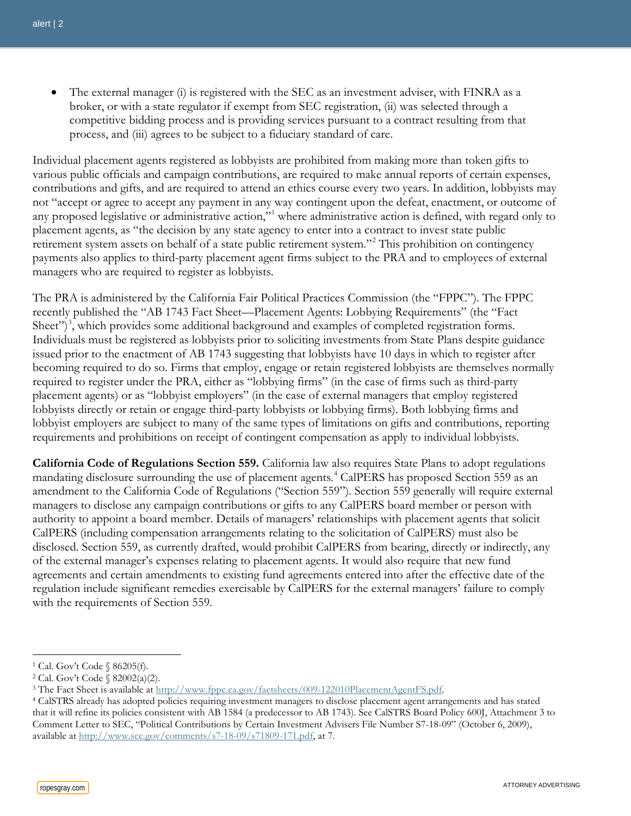The external manager (i) is registered with the SEC as an investment adviser, with FINRA as a broker, or with a state regulator if exempt from SEC registration, (ii) was selected through a competitive bidding process and is providing services pursuant to a contract resulting from that process, and (iii) agrees to be subject to a fiduciary standard of care.

Individual placement agents registered as lobbyists are prohibited from making more than token gifts to various public officials and campaign contributions, are required to make annual reports of certain expenses, contributions and gifts, and are required to attend an ethics course every two years. In addition, lobbyists may not "accept or agree to accept any payment in any way contingent upon the defeat, enactment, or outcome of any proposed legislative or administrative action,"[1](#page-1-0) where administrative action is defined, with regard only to placement agents, as "the decision by any state agency to enter into a contract to invest state public retirement system assets on behalf of a state public retirement system."<sup>[2](#page-1-1)</sup> This prohibition on contingency payments also applies to third-party placement agent firms subject to the PRA and to employees of external managers who are required to register as lobbyists.

The PRA is administered by the California Fair Political Practices Commission (the "FPPC"). The FPPC recently published the "AB 1743 Fact Sheet—Placement Agents: Lobbying Requirements" (the "Fact Sheet")<sup>[3](#page-1-2)</sup>, which provides some additional background and examples of completed registration forms. Individuals must be registered as lobbyists prior to soliciting investments from State Plans despite guidance issued prior to the enactment of AB 1743 suggesting that lobbyists have 10 days in which to register after becoming required to do so. Firms that employ, engage or retain registered lobbyists are themselves normally required to register under the PRA, either as "lobbying firms" (in the case of firms such as third-party placement agents) or as "lobbyist employers" (in the case of external managers that employ registered lobbyists directly or retain or engage third-party lobbyists or lobbying firms). Both lobbying firms and lobbyist employers are subject to many of the same types of limitations on gifts and contributions, reporting requirements and prohibitions on receipt of contingent compensation as apply to individual lobbyists.

**California Code of Regulations Section 559.** California law also requires State Plans to adopt regulations mandating disclosure surrounding the use of placement agents. [4](#page-1-3) CalPERS has proposed Section 559 as an amendment to the California Code of Regulations ("Section 559"). Section 559 generally will require external managers to disclose any campaign contributions or gifts to any CalPERS board member or person with authority to appoint a board member. Details of managers' relationships with placement agents that solicit CalPERS (including compensation arrangements relating to the solicitation of CalPERS) must also be disclosed. Section 559, as currently drafted, would prohibit CalPERS from bearing, directly or indirectly, any of the external manager's expenses relating to placement agents. It would also require that new fund agreements and certain amendments to existing fund agreements entered into after the effective date of the regulation include significant remedies exercisable by CalPERS for the external managers' failure to comply with the requirements of Section 559.

<span id="page-1-0"></span><sup>1</sup> Cal. Gov't Code § 86205(f).

<span id="page-1-1"></span><sup>2</sup> Cal. Gov't Code § 82002(a)(2).

<span id="page-1-2"></span><sup>&</sup>lt;sup>3</sup> The Fact Sheet is available at [http://www.fppc.ca.gov/factsheets/009-122010PlacementAgentFS.pdf.](http://www.fppc.ca.gov/factsheets/009-122010PlacementAgentFS.pdf)

<span id="page-1-3"></span><sup>4</sup> CalSTRS already has adopted policies requiring investment managers to disclose placement agent arrangements and has stated that it will refine its policies consistent with AB 1584 (a predecessor to AB 1743). See CalSTRS Board Policy 600J, Attachment 3 to Comment Letter to SEC, "Political Contributions by Certain Investment Advisers File Number S7-18-09" (October 6, 2009), available a[t http://www.sec.gov/comments/s7-18-09/s71809-171.pdf,](http://www.sec.gov/comments/s7-18-09/s71809-171.pdf) at 7.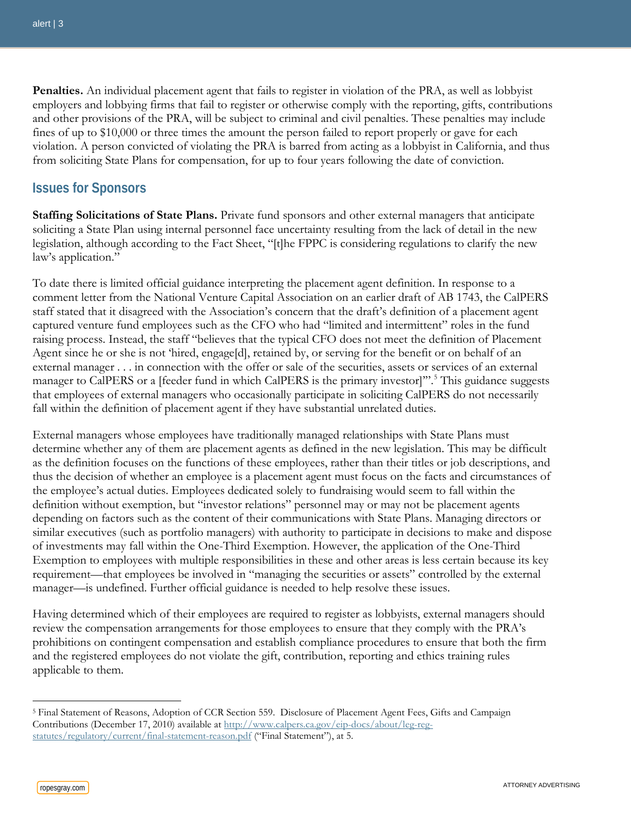**Penalties.** An individual placement agent that fails to register in violation of the PRA, as well as lobbyist employers and lobbying firms that fail to register or otherwise comply with the reporting, gifts, contributions and other provisions of the PRA, will be subject to criminal and civil penalties. These penalties may include fines of up to \$10,000 or three times the amount the person failed to report properly or gave for each violation. A person convicted of violating the PRA is barred from acting as a lobbyist in California, and thus from soliciting State Plans for compensation, for up to four years following the date of conviction.

## **Issues for Sponsors**

**Staffing Solicitations of State Plans.** Private fund sponsors and other external managers that anticipate soliciting a State Plan using internal personnel face uncertainty resulting from the lack of detail in the new legislation, although according to the Fact Sheet, "[t]he FPPC is considering regulations to clarify the new law's application."

To date there is limited official guidance interpreting the placement agent definition. In response to a comment letter from the National Venture Capital Association on an earlier draft of AB 1743, the CalPERS staff stated that it disagreed with the Association's concern that the draft's definition of a placement agent captured venture fund employees such as the CFO who had "limited and intermittent" roles in the fund raising process. Instead, the staff "believes that the typical CFO does not meet the definition of Placement Agent since he or she is not 'hired, engage[d], retained by, or serving for the benefit or on behalf of an external manager . . . in connection with the offer or sale of the securities, assets or services of an external manager to CalPERS or a [feeder fund in which CalPERS is the primary investor]".<sup>[5](#page-2-0)</sup> This guidance suggests that employees of external managers who occasionally participate in soliciting CalPERS do not necessarily fall within the definition of placement agent if they have substantial unrelated duties.

External managers whose employees have traditionally managed relationships with State Plans must determine whether any of them are placement agents as defined in the new legislation. This may be difficult as the definition focuses on the functions of these employees, rather than their titles or job descriptions, and thus the decision of whether an employee is a placement agent must focus on the facts and circumstances of the employee's actual duties. Employees dedicated solely to fundraising would seem to fall within the definition without exemption, but "investor relations" personnel may or may not be placement agents depending on factors such as the content of their communications with State Plans. Managing directors or similar executives (such as portfolio managers) with authority to participate in decisions to make and dispose of investments may fall within the One-Third Exemption. However, the application of the One-Third Exemption to employees with multiple responsibilities in these and other areas is less certain because its key requirement—that employees be involved in "managing the securities or assets" controlled by the external manager—is undefined. Further official guidance is needed to help resolve these issues.

Having determined which of their employees are required to register as lobbyists, external managers should review the compensation arrangements for those employees to ensure that they comply with the PRA's prohibitions on contingent compensation and establish compliance procedures to ensure that both the firm and the registered employees do not violate the gift, contribution, reporting and ethics training rules applicable to them.

<span id="page-2-0"></span><sup>5</sup> Final Statement of Reasons, Adoption of CCR Section 559. Disclosure of Placement Agent Fees, Gifts and Campaign Contributions (December 17, 2010) available at [http://www.calpers.ca.gov/eip-docs/about/leg-reg](http://www.calpers.ca.gov/eip-docs/about/leg-reg-statutes/regulatory/current/final-statement-reason.pdf)[statutes/regulatory/current/final-statement-reason.pdf](http://www.calpers.ca.gov/eip-docs/about/leg-reg-statutes/regulatory/current/final-statement-reason.pdf) ("Final Statement"), at 5.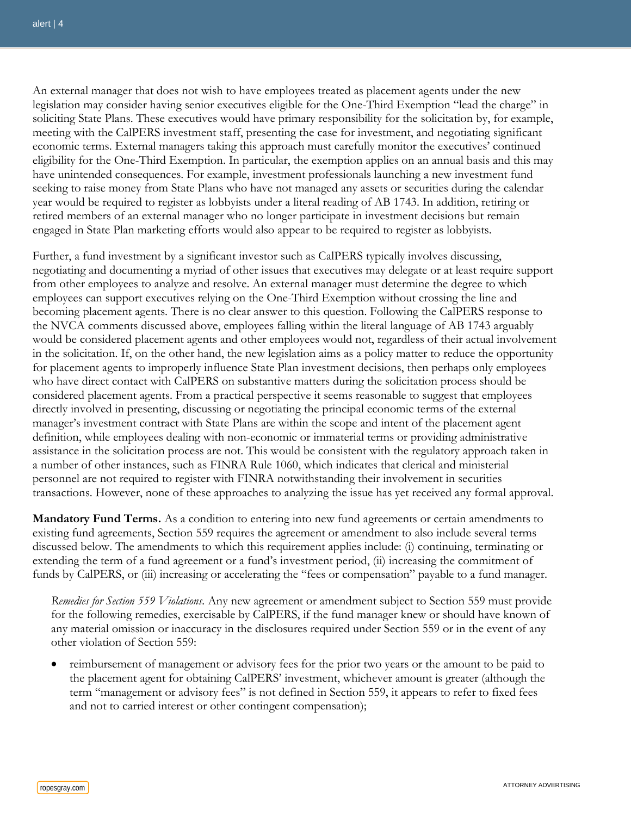An external manager that does not wish to have employees treated as placement agents under the new legislation may consider having senior executives eligible for the One-Third Exemption "lead the charge" in soliciting State Plans. These executives would have primary responsibility for the solicitation by, for example, meeting with the CalPERS investment staff, presenting the case for investment, and negotiating significant economic terms. External managers taking this approach must carefully monitor the executives' continued eligibility for the One-Third Exemption. In particular, the exemption applies on an annual basis and this may have unintended consequences. For example, investment professionals launching a new investment fund seeking to raise money from State Plans who have not managed any assets or securities during the calendar year would be required to register as lobbyists under a literal reading of AB 1743. In addition, retiring or retired members of an external manager who no longer participate in investment decisions but remain engaged in State Plan marketing efforts would also appear to be required to register as lobbyists.

Further, a fund investment by a significant investor such as CalPERS typically involves discussing, negotiating and documenting a myriad of other issues that executives may delegate or at least require support from other employees to analyze and resolve. An external manager must determine the degree to which employees can support executives relying on the One-Third Exemption without crossing the line and becoming placement agents. There is no clear answer to this question. Following the CalPERS response to the NVCA comments discussed above, employees falling within the literal language of AB 1743 arguably would be considered placement agents and other employees would not, regardless of their actual involvement in the solicitation. If, on the other hand, the new legislation aims as a policy matter to reduce the opportunity for placement agents to improperly influence State Plan investment decisions, then perhaps only employees who have direct contact with CalPERS on substantive matters during the solicitation process should be considered placement agents. From a practical perspective it seems reasonable to suggest that employees directly involved in presenting, discussing or negotiating the principal economic terms of the external manager's investment contract with State Plans are within the scope and intent of the placement agent definition, while employees dealing with non-economic or immaterial terms or providing administrative assistance in the solicitation process are not. This would be consistent with the regulatory approach taken in a number of other instances, such as FINRA Rule 1060, which indicates that clerical and ministerial personnel are not required to register with FINRA notwithstanding their involvement in securities transactions. However, none of these approaches to analyzing the issue has yet received any formal approval.

**Mandatory Fund Terms.** As a condition to entering into new fund agreements or certain amendments to existing fund agreements, Section 559 requires the agreement or amendment to also include several terms discussed below. The amendments to which this requirement applies include: (i) continuing, terminating or extending the term of a fund agreement or a fund's investment period, (ii) increasing the commitment of funds by CalPERS, or (iii) increasing or accelerating the "fees or compensation" payable to a fund manager.

*Remedies for Section 559 Violations.* Any new agreement or amendment subject to Section 559 must provide for the following remedies, exercisable by CalPERS, if the fund manager knew or should have known of any material omission or inaccuracy in the disclosures required under Section 559 or in the event of any other violation of Section 559:

• reimbursement of management or advisory fees for the prior two years or the amount to be paid to the placement agent for obtaining CalPERS' investment, whichever amount is greater (although the term "management or advisory fees" is not defined in Section 559, it appears to refer to fixed fees and not to carried interest or other contingent compensation);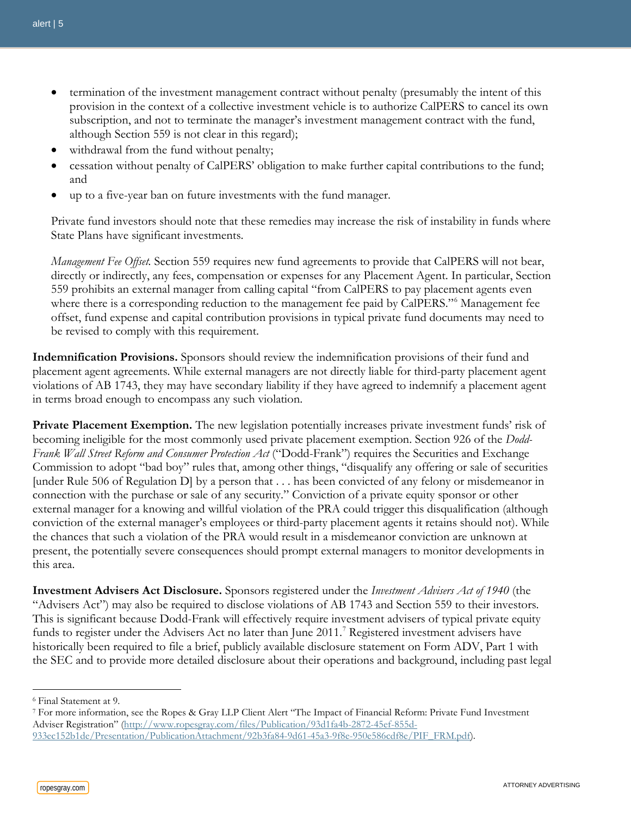- termination of the investment management contract without penalty (presumably the intent of this provision in the context of a collective investment vehicle is to authorize CalPERS to cancel its own subscription, and not to terminate the manager's investment management contract with the fund, although Section 559 is not clear in this regard);
- withdrawal from the fund without penalty;
- cessation without penalty of CalPERS' obligation to make further capital contributions to the fund; and
- up to a five-year ban on future investments with the fund manager.

Private fund investors should note that these remedies may increase the risk of instability in funds where State Plans have significant investments.

*Management Fee Offset.* Section 559 requires new fund agreements to provide that CalPERS will not bear, directly or indirectly, any fees, compensation or expenses for any Placement Agent. In particular, Section 559 prohibits an external manager from calling capital "from CalPERS to pay placement agents even where there is a corresponding reduction to the management fee paid by CalPERS."<sup>[6](#page-4-0)</sup> Management fee offset, fund expense and capital contribution provisions in typical private fund documents may need to be revised to comply with this requirement.

**Indemnification Provisions.** Sponsors should review the indemnification provisions of their fund and placement agent agreements. While external managers are not directly liable for third-party placement agent violations of AB 1743, they may have secondary liability if they have agreed to indemnify a placement agent in terms broad enough to encompass any such violation.

**Private Placement Exemption.** The new legislation potentially increases private investment funds' risk of becoming ineligible for the most commonly used private placement exemption. Section 926 of the *Dodd-Frank Wall Street Reform and Consumer Protection Act* ("Dodd-Frank") requires the Securities and Exchange Commission to adopt "bad boy" rules that, among other things, "disqualify any offering or sale of securities [under Rule 506 of Regulation D] by a person that . . . has been convicted of any felony or misdemeanor in connection with the purchase or sale of any security." Conviction of a private equity sponsor or other external manager for a knowing and willful violation of the PRA could trigger this disqualification (although conviction of the external manager's employees or third-party placement agents it retains should not). While the chances that such a violation of the PRA would result in a misdemeanor conviction are unknown at present, the potentially severe consequences should prompt external managers to monitor developments in this area.

**Investment Advisers Act Disclosure.** Sponsors registered under the *Investment Advisers Act of 1940* (the "Advisers Act") may also be required to disclose violations of AB 1743 and Section 559 to their investors. This is significant because Dodd-Frank will effectively require investment advisers of typical private equity funds to register under the Advisers Act no later than June 2011.<sup>[7](#page-4-1)</sup> Registered investment advisers have historically been required to file a brief, publicly available disclosure statement on Form ADV, Part 1 with the SEC and to provide more detailed disclosure about their operations and background, including past legal

<span id="page-4-0"></span><sup>6</sup> Final Statement at 9.

<span id="page-4-1"></span><sup>7</sup> For more information, see the Ropes & Gray LLP Client Alert "The Impact of Financial Reform: Private Fund Investment Adviser Registration" (http://www.ropesgray.com/files/Publication/93d1fa4b-2872-45ef-855d-933ec152b1de/Presentation/PublicationAttachment/92b3fa84-9d61-45a3-9f8e-950e586cdf8e/PIF\_FRM.pdf).